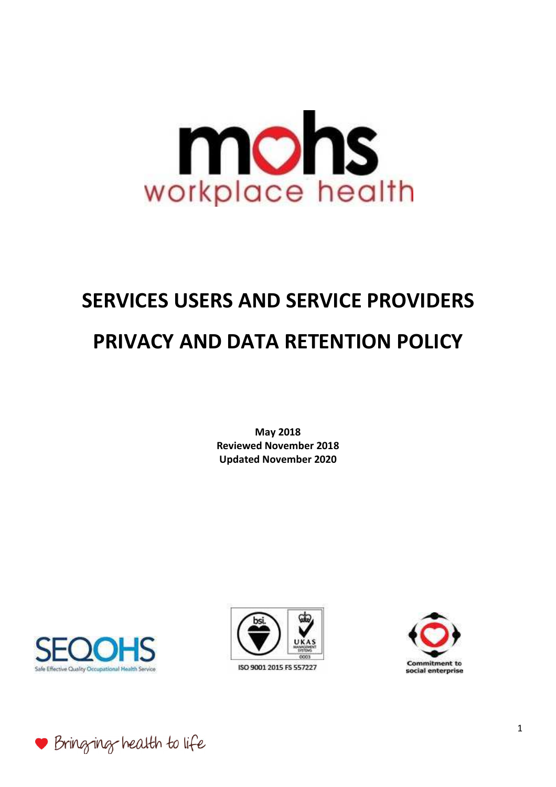# mons workplace health

# **SERVICES USERS AND SERVICE PROVIDERS PRIVACY AND DATA RETENTION POLICY**

**May 2018 Reviewed November 2018 Updated November 2020** 





ISO 9001 2015 FS 557227



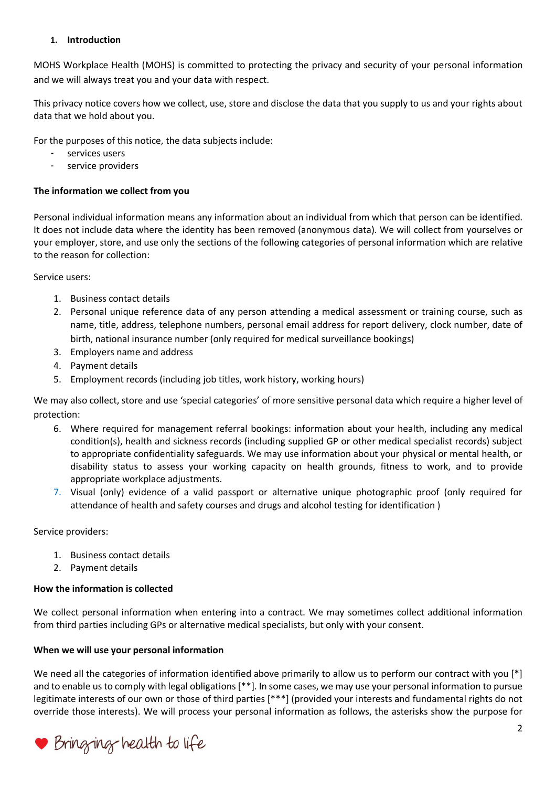# **1. Introduction**

MOHS Workplace Health (MOHS) is committed to protecting the privacy and security of your personal information and we will always treat you and your data with respect.

This privacy notice covers how we collect, use, store and disclose the data that you supply to us and your rights about data that we hold about you.

For the purposes of this notice, the data subjects include:

- services users
- service providers

# **The information we collect from you**

Personal individual information means any information about an individual from which that person can be identified. It does not include data where the identity has been removed (anonymous data). We will collect from yourselves or your employer, store, and use only the sections of the following categories of personal information which are relative to the reason for collection:

Service users:

- 1. Business contact details
- 2. Personal unique reference data of any person attending a medical assessment or training course, such as name, title, address, telephone numbers, personal email address for report delivery, clock number, date of birth, national insurance number (only required for medical surveillance bookings)
- 3. Employers name and address
- 4. Payment details
- 5. Employment records (including job titles, work history, working hours)

We may also collect, store and use 'special categories' of more sensitive personal data which require a higher level of protection:

- 6. Where required for management referral bookings: information about your health, including any medical condition(s), health and sickness records (including supplied GP or other medical specialist records) subject to appropriate confidentiality safeguards. We may use information about your physical or mental health, or disability status to assess your working capacity on health grounds, fitness to work, and to provide appropriate workplace adjustments.
- 7. Visual (only) evidence of a valid passport or alternative unique photographic proof (only required for attendance of health and safety courses and drugs and alcohol testing for identification )

Service providers:

- 1. Business contact details
- 2. Payment details

# **How the information is collected**

We collect personal information when entering into a contract. We may sometimes collect additional information from third parties including GPs or alternative medical specialists, but only with your consent.

# **When we will use your personal information**

We need all the categories of information identified above primarily to allow us to perform our contract with you [\*] and to enable us to comply with legal obligations [\*\*]. In some cases, we may use your personal information to pursue legitimate interests of our own or those of third parties [\*\*\*] (provided your interests and fundamental rights do not override those interests). We will process your personal information as follows, the asterisks show the purpose for

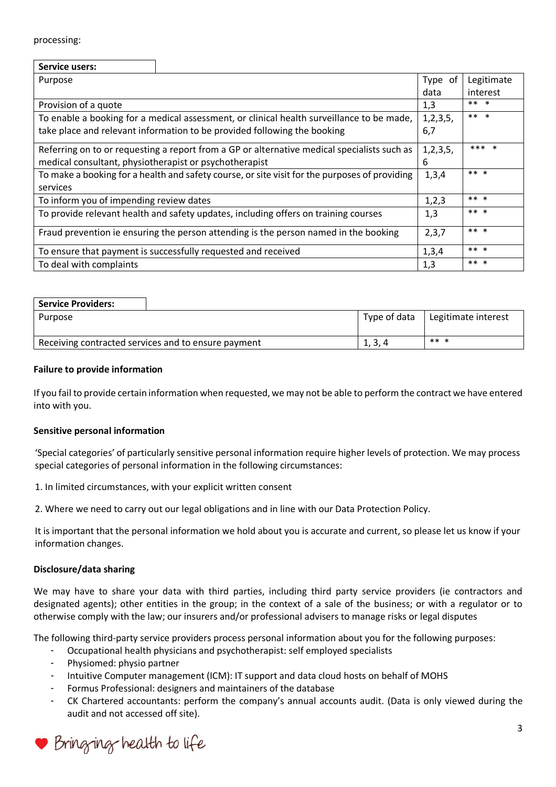#### processing:

| Service users:                                                                                |  |             |            |
|-----------------------------------------------------------------------------------------------|--|-------------|------------|
| Purpose                                                                                       |  | Type of     | Legitimate |
|                                                                                               |  | data        | interest   |
| Provision of a quote                                                                          |  | 1,3         | ** *       |
| To enable a booking for a medical assessment, or clinical health surveillance to be made,     |  | 1, 2, 3, 5, | ** *       |
| take place and relevant information to be provided following the booking                      |  | 6,7         |            |
| Referring on to or requesting a report from a GP or alternative medical specialists such as   |  | 1,2,3,5,    | *** *      |
| medical consultant, physiotherapist or psychotherapist                                        |  | 6           |            |
| To make a booking for a health and safety course, or site visit for the purposes of providing |  | 1,3,4       | ** *       |
| services                                                                                      |  |             |            |
| To inform you of impending review dates                                                       |  | 1,2,3       | ** *       |
| To provide relevant health and safety updates, including offers on training courses           |  | 1,3         | ** *       |
| Fraud prevention ie ensuring the person attending is the person named in the booking          |  | 2,3,7       | ** *       |
| To ensure that payment is successfully requested and received                                 |  | 1,3,4       | ** *       |
| To deal with complaints                                                                       |  | 1,3         | ** *       |

| <b>Service Providers:</b>                           |              |                     |  |
|-----------------------------------------------------|--------------|---------------------|--|
| Purpose                                             | Type of data | Legitimate interest |  |
|                                                     |              |                     |  |
| Receiving contracted services and to ensure payment | 1, 3, 4      | ** *                |  |

#### **Failure to provide information**

If you fail to provide certain information when requested, we may not be able to perform the contract we have entered into with you.

#### **Sensitive personal information**

'Special categories' of particularly sensitive personal information require higher levels of protection. We may process special categories of personal information in the following circumstances:

1. In limited circumstances, with your explicit written consent

2. Where we need to carry out our legal obligations and in line with our Data Protection Policy.

It is important that the personal information we hold about you is accurate and current, so please let us know if your information changes.

# **Disclosure/data sharing**

We may have to share your data with third parties, including third party service providers (ie contractors and designated agents); other entities in the group; in the context of a sale of the business; or with a regulator or to otherwise comply with the law; our insurers and/or professional advisers to manage risks or legal disputes

The following third-party service providers process personal information about you for the following purposes:

- Occupational health physicians and psychotherapist: self employed specialists
- Physiomed: physio partner
- Intuitive Computer management (ICM): IT support and data cloud hosts on behalf of MOHS
- Formus Professional: designers and maintainers of the database
- CK Chartered accountants: perform the company's annual accounts audit. (Data is only viewed during the audit and not accessed off site).

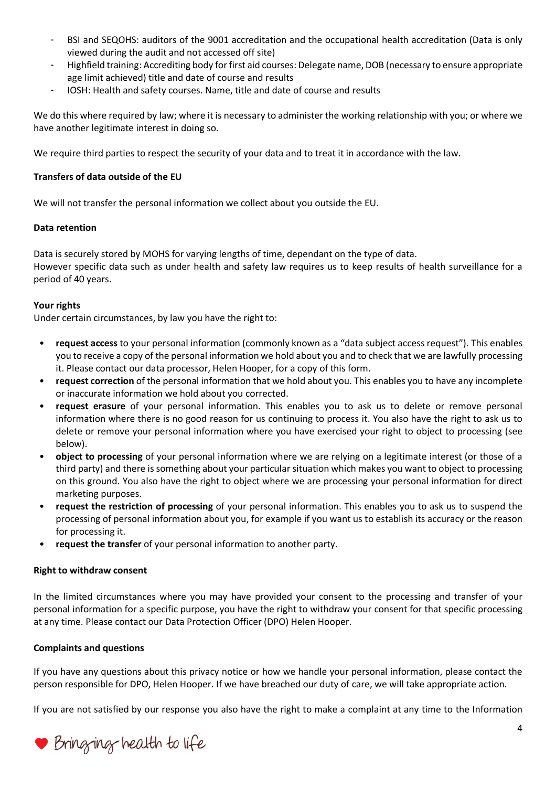- BSI and SEQOHS: auditors of the 9001 accreditation and the occupational health accreditation (Data is only viewed during the audit and not accessed off site)
- Highfield training: Accrediting body for first aid courses: Delegate name, DOB (necessary to ensure appropriate age limit achieved) title and date of course and results
- IOSH: Health and safety courses. Name, title and date of course and results

We do this where required by law; where it is necessary to administer the working relationship with you; or where we have another legitimate interest in doing so.

We require third parties to respect the security of your data and to treat it in accordance with the law.

# **Transfers of data outside of the EU**

We will not transfer the personal information we collect about you outside the EU.

# **Data retention**

Data is securely stored by MOHS for varying lengths of time, dependant on the type of data. However specific data such as under health and safety law requires us to keep results of health surveillance for a period of 40 years.

# **Your rights**

Under certain circumstances, by law you have the right to:

- **request access** to your personal information (commonly known as a "data subject access request"). This enables you to receive a copy of the personal information we hold about you and to check that we are lawfully processing it. Please contact our data processor, Helen Hooper, for a copy of this form.
- **request correction** of the personal information that we hold about you. This enables you to have any incomplete or inaccurate information we hold about you corrected.
- **request erasure** of your personal information. This enables you to ask us to delete or remove personal information where there is no good reason for us continuing to process it. You also have the right to ask us to delete or remove your personal information where you have exercised your right to object to processing (see below).
- **object to processing** of your personal information where we are relying on a legitimate interest (or those of a third party) and there is something about your particular situation which makes you want to object to processing on this ground. You also have the right to object where we are processing your personal information for direct marketing purposes.
- **request the restriction of processing** of your personal information. This enables you to ask us to suspend the processing of personal information about you, for example if you want us to establish its accuracy or the reason for processing it.
- **request the transfer** of your personal information to another party.

# **Right to withdraw consent**

In the limited circumstances where you may have provided your consent to the processing and transfer of your personal information for a specific purpose, you have the right to withdraw your consent for that specific processing at any time. Please contact our Data Protection Officer (DPO) Helen Hooper.

# **Complaints and questions**

If you have any questions about this privacy notice or how we handle your personal information, please contact the person responsible for DPO, Helen Hooper. If we have breached our duty of care, we will take appropriate action.

If you are not satisfied by our response you also have the right to make a complaint at any time to the Information